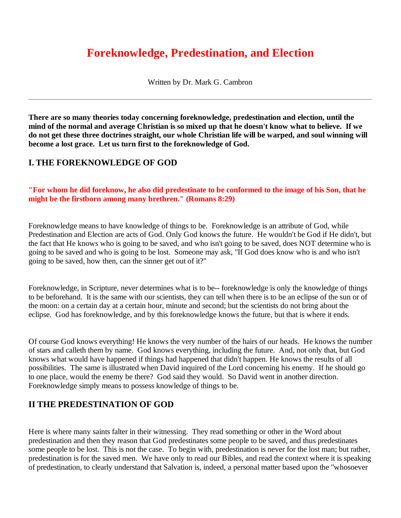# **Foreknowledge, Predestination, and Election**

Written by Dr. Mark G. Cambron

**There are so many theories today concerning foreknowledge, predestination and election, until the mind of the normal and average Christian is so mixed up that he doesn't know what to believe. If we do not get these three doctrines straight, our whole Christian life will be warped, and soul winning will become a lost grace. Let us turn first to the foreknowledge of God.** 

### **I. THE FOREKNOWLEDGE OF GOD**

#### **"For whom he did foreknow, he also did predestinate to be conformed to the image of his Son, that he might be the firstborn among many brethren." (Romans 8:29)**

Foreknowledge means to have knowledge of things to be. Foreknowledge is an attribute of God, while Predestination and Election are acts of God. Only God knows the future. He wouldn't be God if He didn't, but the fact that He knows who is going to be saved, and who isn't going to be saved, does NOT determine who is going to be saved and who is going to be lost. Someone may ask, "If God does know who is and who isn't going to be saved, how then, can the sinner get out of it?"

Foreknowledge, in Scripture, never determines what is to be-- foreknowledge is only the knowledge of things to be beforehand. It is the same with our scientists, they can tell when there is to be an eclipse of the sun or of the moon: on a certain day at a certain hour, minute and second; but the scientists do not bring about the eclipse. God has foreknowledge, and by this foreknowledge knows the future, but that is where it ends.

Of course God knows everything! He knows the very number of the hairs of our heads. He knows the number of stars and calleth them by name. God knows everything, including the future. And, not only that, but God knows what would have happened if things had happened that didn't happen. He knows the results of all possibilities. The same is illustrated when David inquired of the Lord concerning his enemy. If he should go to one place, would the enemy be there? God said they would. So David went in another direction. Foreknowledge simply means to possess knowledge of things to be.

# **II THE PREDESTINATION OF GOD**

Here is where many saints falter in their witnessing. They read something or other in the Word about predestination and then they reason that God predestinates some people to be saved, and thus predestinates some people to be lost. This is not the case. To begin with, predestination is never for the lost man; but rather, predestination is for the saved men. We have only to read our Bibles, and read the context where it is speaking of predestination, to clearly understand that Salvation is, indeed, a personal matter based upon the "whosoever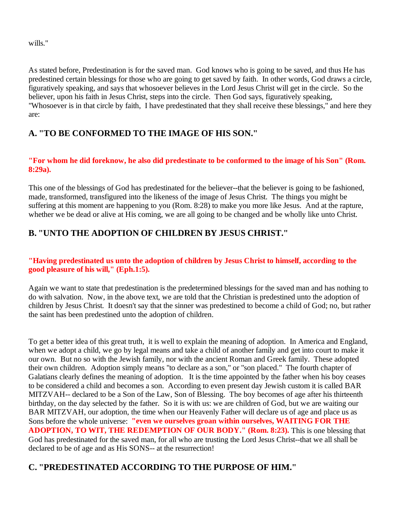wills."

As stated before, Predestination is for the saved man. God knows who is going to be saved, and thus He has predestined certain blessings for those who are going to get saved by faith. In other words, God draws a circle, figuratively speaking, and says that whosoever believes in the Lord Jesus Christ will get in the circle. So the believer, upon his faith in Jesus Christ, steps into the circle. Then God says, figuratively speaking, "Whosoever is in that circle by faith, I have predestinated that they shall receive these blessings," and here they are:

### **A. "TO BE CONFORMED TO THE IMAGE OF HIS SON."**

#### **"For whom he did foreknow, he also did predestinate to be conformed to the image of his Son" (Rom. 8:29a).**

This one of the blessings of God has predestinated for the believer--that the believer is going to be fashioned, made, transformed, transfigured into the likeness of the image of Jesus Christ. The things you might be suffering at this moment are happening to you (Rom. 8:28) to make you more like Jesus. And at the rapture, whether we be dead or alive at His coming, we are all going to be changed and be wholly like unto Christ.

# **B. "UNTO THE ADOPTION OF CHILDREN BY JESUS CHRIST."**

#### **"Having predestinated us unto the adoption of children by Jesus Christ to himself, according to the good pleasure of his will," (Eph.1:5).**

Again we want to state that predestination is the predetermined blessings for the saved man and has nothing to do with salvation. Now, in the above text, we are told that the Christian is predestined unto the adoption of children by Jesus Christ. It doesn't say that the sinner was predestined to become a child of God; no, but rather the saint has been predestined unto the adoption of children.

To get a better idea of this great truth, it is well to explain the meaning of adoption. In America and England, when we adopt a child, we go by legal means and take a child of another family and get into court to make it our own. But no so with the Jewish family, nor with the ancient Roman and Greek family. These adopted their own children. Adoption simply means "to declare as a son," or "son placed." The fourth chapter of Galatians clearly defines the meaning of adoption. It is the time appointed by the father when his boy ceases to be considered a child and becomes a son. According to even present day Jewish custom it is called BAR MITZVAH-- declared to be a Son of the Law, Son of Blessing. The boy becomes of age after his thirteenth birthday, on the day selected by the father. So it is with us: we are children of God, but we are waiting our BAR MITZVAH, our adoption, the time when our Heavenly Father will declare us of age and place us as Sons before the whole universe: **"even we ourselves groan within ourselves, WAITING FOR THE ADOPTION, TO WIT, THE REDEMPTION OF OUR BODY." (Rom. 8:23).** This is one blessing that God has predestinated for the saved man, for all who are trusting the Lord Jesus Christ--that we all shall be declared to be of age and as His SONS-- at the resurrection!

# **C. "PREDESTINATED ACCORDING TO THE PURPOSE OF HIM."**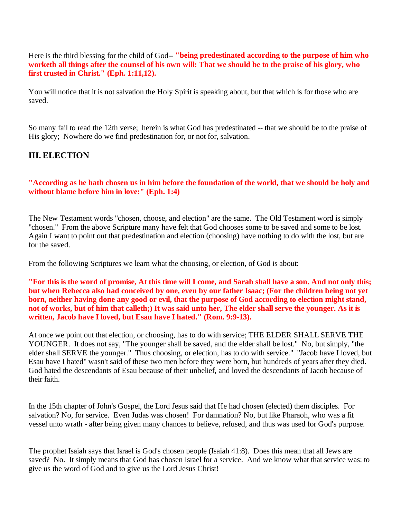Here is the third blessing for the child of God-- **"being predestinated according to the purpose of him who worketh all things after the counsel of his own will: That we should be to the praise of his glory, who first trusted in Christ." (Eph. 1:11,12).**

You will notice that it is not salvation the Holy Spirit is speaking about, but that which is for those who are saved.

So many fail to read the 12th verse; herein is what God has predestinated -- that we should be to the praise of His glory; Nowhere do we find predestination for, or not for, salvation.

### **III. ELECTION**

**"According as he hath chosen us in him before the foundation of the world, that we should be holy and without blame before him in love:" (Eph. 1:4)**

The New Testament words "chosen, choose, and election" are the same. The Old Testament word is simply "chosen." From the above Scripture many have felt that God chooses some to be saved and some to be lost. Again I want to point out that predestination and election (choosing) have nothing to do with the lost, but are for the saved.

From the following Scriptures we learn what the choosing, or election, of God is about:

**"For this is the word of promise, At this time will I come, and Sarah shall have a son. And not only this; but when Rebecca also had conceived by one, even by our father Isaac; (For the children being not yet born, neither having done any good or evil, that the purpose of God according to election might stand, not of works, but of him that calleth;) It was said unto her, The elder shall serve the younger. As it is written, Jacob have I loved, but Esau have I hated." (Rom. 9:9-13).**

At once we point out that election, or choosing, has to do with service; THE ELDER SHALL SERVE THE YOUNGER. It does not say, "The younger shall be saved, and the elder shall be lost." No, but simply, "the elder shall SERVE the younger." Thus choosing, or election, has to do with service." "Jacob have I loved, but Esau have I hated" wasn't said of these two men before they were born, but hundreds of years after they died. God hated the descendants of Esau because of their unbelief, and loved the descendants of Jacob because of their faith.

In the 15th chapter of John's Gospel, the Lord Jesus said that He had chosen (elected) them disciples. For salvation? No, for service. Even Judas was chosen! For damnation? No, but like Pharaoh, who was a fit vessel unto wrath - after being given many chances to believe, refused, and thus was used for God's purpose.

The prophet Isaiah says that Israel is God's chosen people (Isaiah 41:8). Does this mean that all Jews are saved? No. It simply means that God has chosen Israel for a service. And we know what that service was: to give us the word of God and to give us the Lord Jesus Christ!